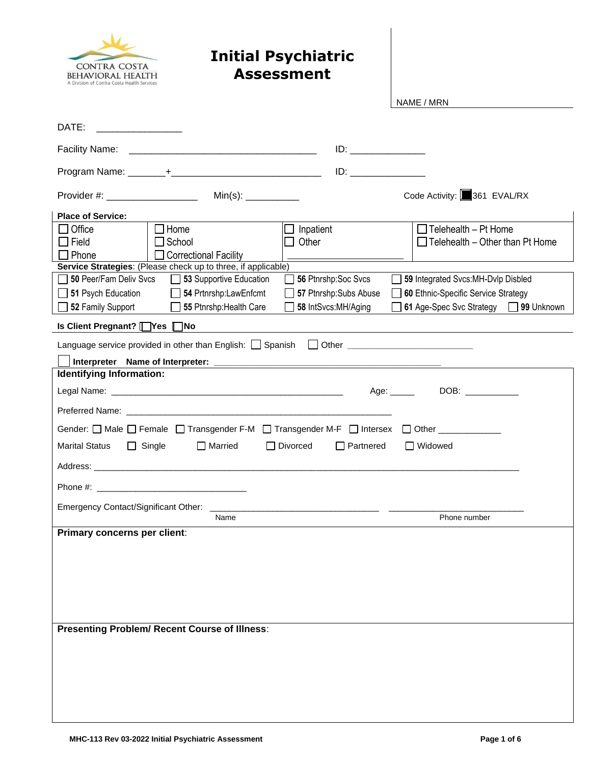

## **Initial Psychiatric Assessment**

NAME / MRN

| DATE:                                                                                                                                                                                                                                                                                                                                                                                      |
|--------------------------------------------------------------------------------------------------------------------------------------------------------------------------------------------------------------------------------------------------------------------------------------------------------------------------------------------------------------------------------------------|
| Facility Name:                                                                                                                                                                                                                                                                                                                                                                             |
|                                                                                                                                                                                                                                                                                                                                                                                            |
| Code Activity: 361 EVAL/RX<br>Provider #: ____________________<br>$Min(s):$ _____________                                                                                                                                                                                                                                                                                                  |
| <b>Place of Service:</b>                                                                                                                                                                                                                                                                                                                                                                   |
| $\Box$ Home<br>$\Box$ Telehealth - Pt Home<br>$\Box$ Office<br>Inpatient<br>$\Box$ Telehealth – Other than Pt Home<br>$\Box$ Field<br>$\Box$ School<br>Other<br>$\Box$ Phone<br>□ Correctional Facility<br>Service Strategies: (Please check up to three, if applicable)<br>50 Peer/Fam Deliv Svcs<br>53 Supportive Education<br>56 Ptnrshp:Soc Svcs<br>59 Integrated Svcs:MH-Dvlp Disbled |
| $\Box$ 51 Psych Education<br>54 Prtnrshp:LawEnfcmt<br>57 Ptnrshp:Subs Abuse<br>60 Ethnic-Specific Service Strategy                                                                                                                                                                                                                                                                         |
| 52 Family Support<br>55 Ptnrshp: Health Care<br>61 Age-Spec Svc Strategy 199 Unknown<br>58 IntSvcs:MH/Aging<br>Is Client Pregnant? [ Yes   No                                                                                                                                                                                                                                              |
|                                                                                                                                                                                                                                                                                                                                                                                            |
|                                                                                                                                                                                                                                                                                                                                                                                            |
| Identifying Information:                                                                                                                                                                                                                                                                                                                                                                   |
| DOB: ___________<br>Age: _____                                                                                                                                                                                                                                                                                                                                                             |
|                                                                                                                                                                                                                                                                                                                                                                                            |
| Gender: □ Male □ Female □ Transgender F-M □ Transgender M-F □ Intersex □ Other ___________                                                                                                                                                                                                                                                                                                 |
| Marital Status<br><u> </u> Single<br>□ Married<br>□ Divorced<br>$\Box$ Partnered<br>□ Widowed                                                                                                                                                                                                                                                                                              |
|                                                                                                                                                                                                                                                                                                                                                                                            |
|                                                                                                                                                                                                                                                                                                                                                                                            |
| Emergency Contact/Significant Other:                                                                                                                                                                                                                                                                                                                                                       |
| Name<br>Phone number                                                                                                                                                                                                                                                                                                                                                                       |
| Primary concerns per client:                                                                                                                                                                                                                                                                                                                                                               |
| <b>Presenting Problem/ Recent Course of Illness:</b>                                                                                                                                                                                                                                                                                                                                       |
|                                                                                                                                                                                                                                                                                                                                                                                            |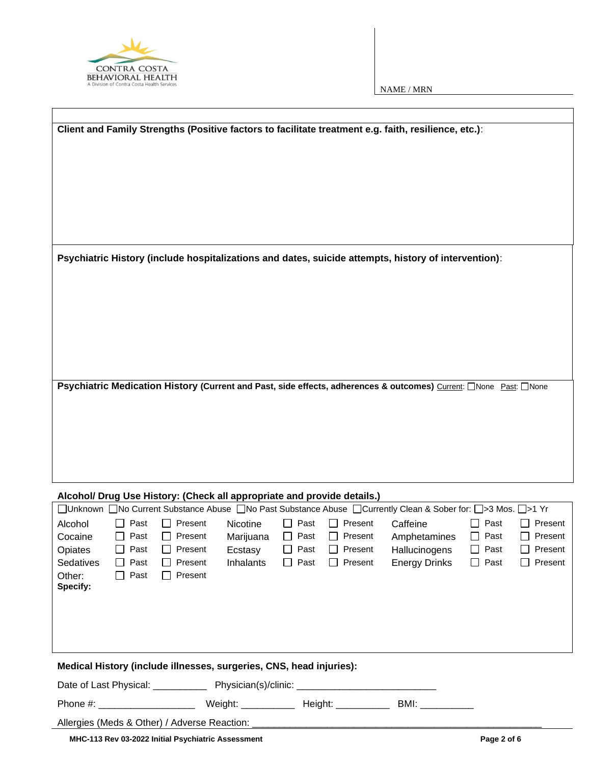

| Client and Family Strengths (Positive factors to facilitate treatment e.g. faith, resilience, etc.):                                                                                                                    |  |  |  |  |  |
|-------------------------------------------------------------------------------------------------------------------------------------------------------------------------------------------------------------------------|--|--|--|--|--|
|                                                                                                                                                                                                                         |  |  |  |  |  |
|                                                                                                                                                                                                                         |  |  |  |  |  |
| Psychiatric History (include hospitalizations and dates, suicide attempts, history of intervention):                                                                                                                    |  |  |  |  |  |
|                                                                                                                                                                                                                         |  |  |  |  |  |
|                                                                                                                                                                                                                         |  |  |  |  |  |
|                                                                                                                                                                                                                         |  |  |  |  |  |
| Psychiatric Medication History (Current and Past, side effects, adherences & outcomes) Current: CNone Past: CNone                                                                                                       |  |  |  |  |  |
|                                                                                                                                                                                                                         |  |  |  |  |  |
|                                                                                                                                                                                                                         |  |  |  |  |  |
|                                                                                                                                                                                                                         |  |  |  |  |  |
| Alcohol/ Drug Use History: (Check all appropriate and provide details.)                                                                                                                                                 |  |  |  |  |  |
| □Unknown □No Current Substance Abuse □No Past Substance Abuse □Currently Clean & Sober for: □>3 Mos. □>1 Yr                                                                                                             |  |  |  |  |  |
| Past<br>Present<br>$\Box$ Present<br>Caffeine<br>Past<br>Alcohol<br><b>Nicotine</b><br>Past<br>Present                                                                                                                  |  |  |  |  |  |
| Past<br>Present<br>$\Box$<br>Past<br>Present<br>Past<br>Present<br>$\Box$<br>Cocaine<br>$\mathsf{L}$<br>Marijuana<br>Amphetamines                                                                                       |  |  |  |  |  |
| Past<br>Past<br>Hallucinogens<br>Present<br>Opiates<br>Present<br>Ecstasy<br>Present<br>Past<br>Past<br>Past<br>Present<br>Present<br>Sedatives<br>Past<br>Present<br>Inhalants<br><b>Energy Drinks</b><br>$\mathsf{L}$ |  |  |  |  |  |
| Past<br>Other:<br>Present<br>$\Box$<br>Specify:                                                                                                                                                                         |  |  |  |  |  |
|                                                                                                                                                                                                                         |  |  |  |  |  |
|                                                                                                                                                                                                                         |  |  |  |  |  |
| Medical History (include illnesses, surgeries, CNS, head injuries):                                                                                                                                                     |  |  |  |  |  |
|                                                                                                                                                                                                                         |  |  |  |  |  |
| BMI: ____________                                                                                                                                                                                                       |  |  |  |  |  |
| Allergies (Meds & Other) / Adverse Reaction: _                                                                                                                                                                          |  |  |  |  |  |

MHC-113 Rev 03-2022 Initial Psychiatric Assessment **Page 2** of 6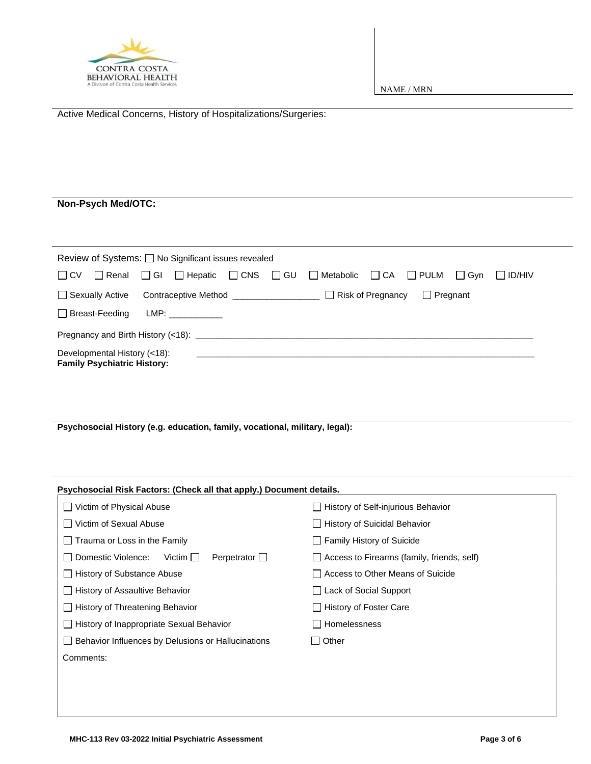

| Active Medical Concerns, History of Hospitalizations/Surgeries:                                                                                         |  |  |  |  |
|---------------------------------------------------------------------------------------------------------------------------------------------------------|--|--|--|--|
|                                                                                                                                                         |  |  |  |  |
|                                                                                                                                                         |  |  |  |  |
|                                                                                                                                                         |  |  |  |  |
| Non-Psych Med/OTC:                                                                                                                                      |  |  |  |  |
|                                                                                                                                                         |  |  |  |  |
| Review of Systems: □ No Significant issues revealed                                                                                                     |  |  |  |  |
| $\square$ GU<br>$\Box$ Gyn<br>$\Box$ ID/HIV<br>$\Box$ CV $\Box$ Renal<br>$\Box$ GI $\Box$ Hepatic<br>$\Box$ CNS<br>□ Metabolic<br>$\Box$ CA $\Box$ PULM |  |  |  |  |
| □ Sexually Active Contraceptive Method ____________________________ □ Risk of Pregnancy<br>$\Box$ Pregnant                                              |  |  |  |  |
| □ Breast-Feeding                                                                                                                                        |  |  |  |  |
|                                                                                                                                                         |  |  |  |  |
| Developmental History (<18):<br><b>Family Psychiatric History:</b>                                                                                      |  |  |  |  |
|                                                                                                                                                         |  |  |  |  |
|                                                                                                                                                         |  |  |  |  |
|                                                                                                                                                         |  |  |  |  |
| Psychosocial History (e.g. education, family, vocational, military, legal):                                                                             |  |  |  |  |
|                                                                                                                                                         |  |  |  |  |

| Psychosocial Risk Factors: (Check all that apply.) Document details. |                                                   |
|----------------------------------------------------------------------|---------------------------------------------------|
| Victim of Physical Abuse                                             | <b>History of Self-injurious Behavior</b>         |
| □ Victim of Sexual Abuse                                             | □ History of Suicidal Behavior                    |
| $\Box$ Trauma or Loss in the Family                                  | Family History of Suicide                         |
| Perpetrator $\Box$<br>l I Domestic Violence:<br>Victim               | $\Box$ Access to Firearms (family, friends, self) |
| History of Substance Abuse                                           | □ Access to Other Means of Suicide                |
| □ History of Assaultive Behavior                                     | $\Box$ Lack of Social Support                     |
| $\Box$ History of Threatening Behavior                               | $\Box$ History of Foster Care                     |
| □ History of Inappropriate Sexual Behavior                           | Homelessness                                      |
| Behavior Influences by Delusions or Hallucinations                   | $\Box$ Other                                      |
| Comments:                                                            |                                                   |
|                                                                      |                                                   |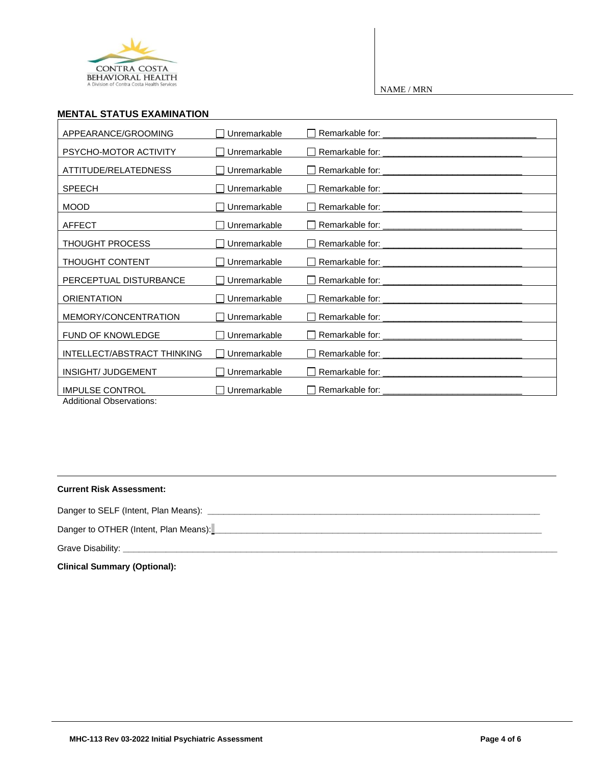

## **MENTAL STATUS EXAMINATION**

| APPEARANCE/GROOMING                                | Unremarkable                   |                                                                                   |
|----------------------------------------------------|--------------------------------|-----------------------------------------------------------------------------------|
| PSYCHO-MOTOR ACTIVITY                              | $\Box$ Unremarkable            |                                                                                   |
| ATTITUDE/RELATEDNESS                               | Unremarkable<br>$\blacksquare$ |                                                                                   |
| <b>SPEECH</b>                                      | ∐ Unremarkable                 |                                                                                   |
| <b>MOOD</b>                                        | $\Box$ Unremarkable            |                                                                                   |
| <b>AFFECT</b>                                      | $\Box$ Unremarkable            |                                                                                   |
| <b>THOUGHT PROCESS</b>                             | Unremarkable<br>$\mathsf{L}$   | Remarkable for:                                                                   |
| <b>THOUGHT CONTENT</b>                             | $\Box$ Unremarkable            |                                                                                   |
| PERCEPTUAL DISTURBANCE                             | Unremarkable<br>ΙI             |                                                                                   |
| <b>ORIENTATION</b>                                 | □ Unremarkable                 |                                                                                   |
| MEMORY/CONCENTRATION                               | Unremarkable<br>$\mathsf{L}$   |                                                                                   |
| <b>FUND OF KNOWLEDGE</b>                           | Unremarkable<br>$\mathsf{L}$   |                                                                                   |
| INTELLECT/ABSTRACT THINKING                        | Unremarkable<br>$\mathsf{L}$   |                                                                                   |
| INSIGHT/ JUDGEMENT                                 | □ Unremarkable                 |                                                                                   |
| <b>IMPULSE CONTROL</b><br>Additional Obecniatione: | Unremarkable<br>$\mathsf{L}$   | Remarkable for:<br><u> 1980 - Johann John Stein, mars an de British (b. 1980)</u> |

Additional Observations:

## **Current Risk Assessment:**

Danger to SELF (Intent, Plan Means): **\_\_\_\_\_\_\_\_\_\_\_\_\_\_\_\_\_\_\_\_\_\_\_\_\_\_\_\_\_\_\_\_\_\_\_\_\_\_\_\_\_\_\_\_\_\_\_\_\_\_\_\_\_\_\_\_\_\_\_\_\_\_**

Danger to OTHER (Intent, Plan Means):

Grave Disability: **\_\_\_\_\_\_\_\_\_\_\_\_\_\_\_\_\_\_\_\_\_\_\_\_\_\_\_\_\_\_\_\_\_\_\_\_\_\_\_\_\_\_\_\_\_\_\_\_\_\_\_\_\_\_\_\_\_\_\_\_\_\_\_\_\_\_\_\_\_\_\_\_\_\_\_\_\_\_\_\_\_**

**Clinical Summary (Optional):**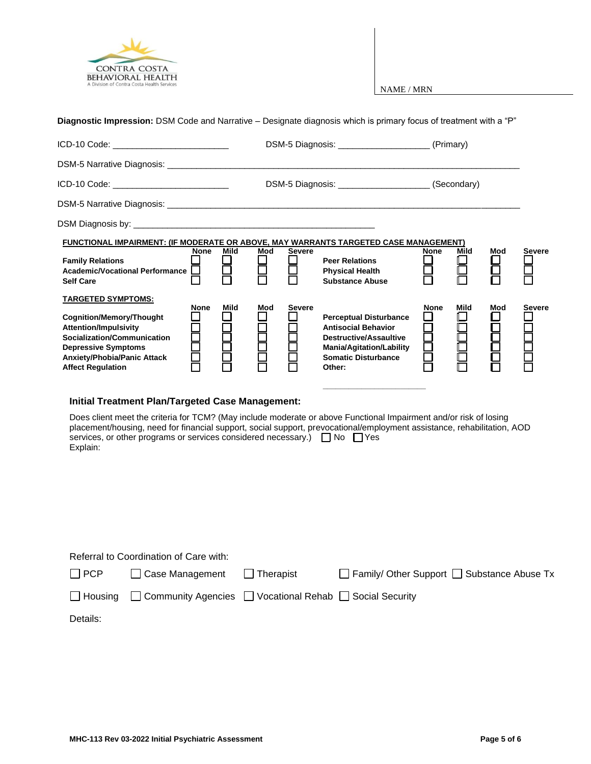

| Diagnostic Impression: DSM Code and Narrative – Designate diagnosis which is primary focus of treatment with a "P"                                                                                                             |             |             |     |               |                                                                                                                                                                         |             |           |                    |               |
|--------------------------------------------------------------------------------------------------------------------------------------------------------------------------------------------------------------------------------|-------------|-------------|-----|---------------|-------------------------------------------------------------------------------------------------------------------------------------------------------------------------|-------------|-----------|--------------------|---------------|
| ICD-10 Code: ____________________________                                                                                                                                                                                      |             |             |     |               |                                                                                                                                                                         |             |           |                    |               |
| DSM-5 Narrative Diagnosis: University of the Contract of the Contract of the Contract of the Contract of the Contract of the Contract of the Contract of the Contract of the Contract of the Contract of the Contract of the C |             |             |     |               |                                                                                                                                                                         |             |           |                    |               |
| ICD-10 Code: _______________________________                                                                                                                                                                                   |             |             |     |               | DSM-5 Diagnosis: ________________________(Secondary)                                                                                                                    |             |           |                    |               |
|                                                                                                                                                                                                                                |             |             |     |               |                                                                                                                                                                         |             |           |                    |               |
|                                                                                                                                                                                                                                |             |             |     |               |                                                                                                                                                                         |             |           |                    |               |
| FUNCTIONAL IMPAIRMENT: (IF MODERATE OR ABOVE, MAY WARRANTS TARGETED CASE MANAGEMENT)                                                                                                                                           |             |             |     |               |                                                                                                                                                                         |             |           |                    |               |
| <b>Family Relations</b><br>Academic/Vocational Performance  <br><b>Self Care</b>                                                                                                                                               | None        | Mild<br>日   | Mod | <b>Severe</b> | <b>Peer Relations</b><br><b>Physical Health</b><br><b>Substance Abuse</b>                                                                                               | None        | Mild<br>凵 | Mod<br>H           | <b>Severe</b> |
| <u>TARGETED SYMPTOMS:</u>                                                                                                                                                                                                      |             |             |     |               |                                                                                                                                                                         |             |           |                    |               |
| Cognition/Memory/Thought<br><b>Attention/Impulsivity</b><br>Socialization/Communication<br><b>Depressive Symptoms</b><br><b>Anxiety/Phobia/Panic Attack</b><br><b>Affect Regulation</b>                                        | <b>None</b> | <b>Mild</b> | Mod | <b>Severe</b> | <b>Perceptual Disturbance</b><br><b>Antisocial Behavior</b><br><b>Destructive/Assaultive</b><br><b>Mania/Agitation/Lability</b><br><b>Somatic Disturbance</b><br>Other: | <b>None</b> | Mild      | Mod<br>2<br>2<br>2 | <b>Severe</b> |
|                                                                                                                                                                                                                                |             |             |     |               |                                                                                                                                                                         |             |           |                    |               |

## **Initial Treatment Plan/Targeted Case Management:**

Does client meet the criteria for TCM? (May include moderate or above Functional Impairment and/or risk of losing placement/housing, need for financial support, social support, prevocational/employment assistance, rehabilitation, AOD services, or other programs or services considered necessary.)  $\Box$  No  $\Box$  Yes Explain:

|            | Referral to Coordination of Care with:                                                  |                                          |
|------------|-----------------------------------------------------------------------------------------|------------------------------------------|
| $\Box$ PCP | Case Management   Therapist                                                             | Family/ Other Support Substance Abuse Tx |
|            | $\Box$ Housing $\Box$ Community Agencies $\Box$ Vocational Rehab $\Box$ Social Security |                                          |
| Dataila :  |                                                                                         |                                          |